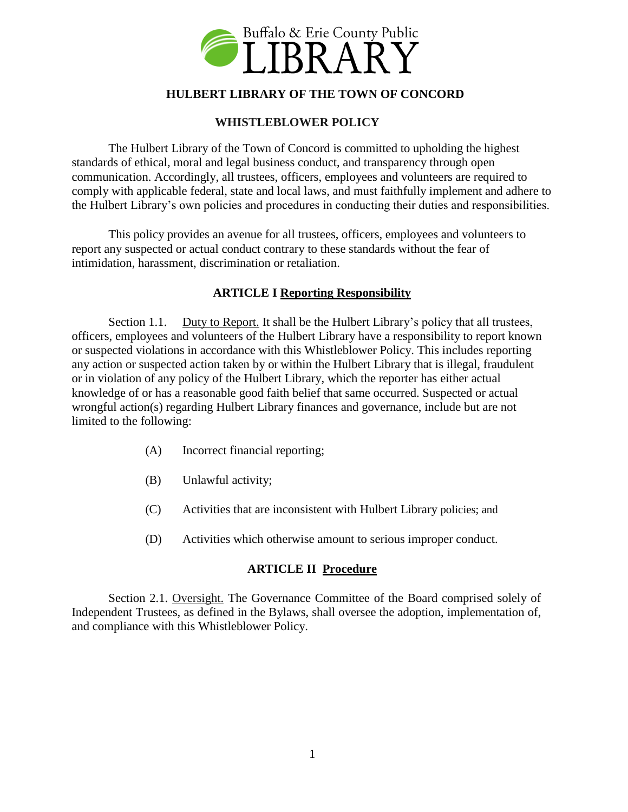

### **HULBERT LIBRARY OF THE TOWN OF CONCORD**

### **WHISTLEBLOWER POLICY**

The Hulbert Library of the Town of Concord is committed to upholding the highest standards of ethical, moral and legal business conduct, and transparency through open communication. Accordingly, all trustees, officers, employees and volunteers are required to comply with applicable federal, state and local laws, and must faithfully implement and adhere to the Hulbert Library's own policies and procedures in conducting their duties and responsibilities.

This policy provides an avenue for all trustees, officers, employees and volunteers to report any suspected or actual conduct contrary to these standards without the fear of intimidation, harassment, discrimination or retaliation.

### **ARTICLE I Reporting Responsibility**

Section 1.1. Duty to Report. It shall be the Hulbert Library's policy that all trustees, officers, employees and volunteers of the Hulbert Library have a responsibility to report known or suspected violations in accordance with this Whistleblower Policy. This includes reporting any action or suspected action taken by or within the Hulbert Library that is illegal, fraudulent or in violation of any policy of the Hulbert Library, which the reporter has either actual knowledge of or has a reasonable good faith belief that same occurred. Suspected or actual wrongful action(s) regarding Hulbert Library finances and governance, include but are not limited to the following:

- (A) Incorrect financial reporting;
- (B) Unlawful activity;
- (C) Activities that are inconsistent with Hulbert Library policies; and
- (D) Activities which otherwise amount to serious improper conduct.

### **ARTICLE II Procedure**

Section 2.1. Oversight. The Governance Committee of the Board comprised solely of Independent Trustees, as defined in the Bylaws, shall oversee the adoption, implementation of, and compliance with this Whistleblower Policy.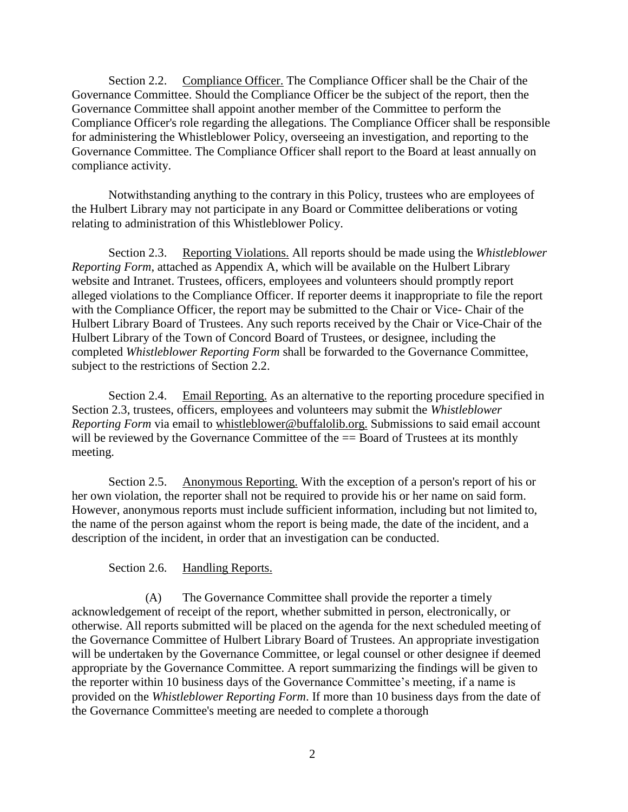Section 2.2. Compliance Officer. The Compliance Officer shall be the Chair of the Governance Committee. Should the Compliance Officer be the subject of the report, then the Governance Committee shall appoint another member of the Committee to perform the Compliance Officer's role regarding the allegations. The Compliance Officer shall be responsible for administering the Whistleblower Policy, overseeing an investigation, and reporting to the Governance Committee. The Compliance Officer shall report to the Board at least annually on compliance activity.

Notwithstanding anything to the contrary in this Policy, trustees who are employees of the Hulbert Library may not participate in any Board or Committee deliberations or voting relating to administration of this Whistleblower Policy.

Section 2.3. Reporting Violations. All reports should be made using the *Whistleblower Reporting Form*, attached as Appendix A, which will be available on the Hulbert Library website and Intranet. Trustees, officers, employees and volunteers should promptly report alleged violations to the Compliance Officer. If reporter deems it inappropriate to file the report with the Compliance Officer, the report may be submitted to the Chair or Vice- Chair of the Hulbert Library Board of Trustees. Any such reports received by the Chair or Vice-Chair of the Hulbert Library of the Town of Concord Board of Trustees, or designee, including the completed *Whistleblower Reporting Form* shall be forwarded to the Governance Committee, subject to the restrictions of Section 2.2.

Section 2.4. Email Reporting. As an alternative to the reporting procedure specified in Section 2.3, trustees, officers, employees and volunteers may submit the *Whistleblower Reporting Form* via email to [whistleblower@buffalolib.org.](mailto:whistleblower@buffalolib.org) Submissions to said email account will be reviewed by the Governance Committee of the  $==$  Board of Trustees at its monthly meeting.

Section 2.5. Anonymous Reporting. With the exception of a person's report of his or her own violation, the reporter shall not be required to provide his or her name on said form. However, anonymous reports must include sufficient information, including but not limited to, the name of the person against whom the report is being made, the date of the incident, and a description of the incident, in order that an investigation can be conducted.

### Section 2.6. Handling Reports.

(A) The Governance Committee shall provide the reporter a timely acknowledgement of receipt of the report, whether submitted in person, electronically, or otherwise. All reports submitted will be placed on the agenda for the next scheduled meeting of the Governance Committee of Hulbert Library Board of Trustees. An appropriate investigation will be undertaken by the Governance Committee, or legal counsel or other designee if deemed appropriate by the Governance Committee. A report summarizing the findings will be given to the reporter within 10 business days of the Governance Committee's meeting, if a name is provided on the *Whistleblower Reporting Form*. If more than 10 business days from the date of the Governance Committee's meeting are needed to complete a thorough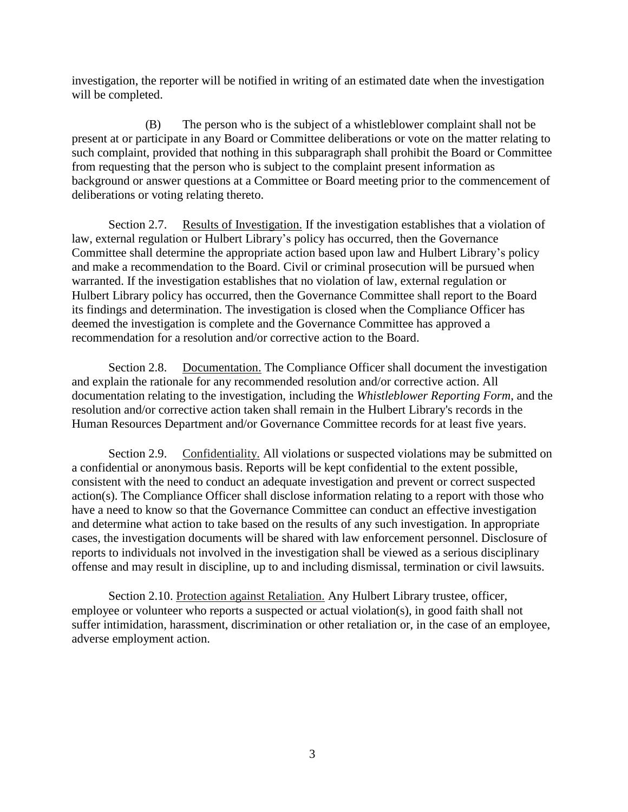investigation, the reporter will be notified in writing of an estimated date when the investigation will be completed.

(B) The person who is the subject of a whistleblower complaint shall not be present at or participate in any Board or Committee deliberations or vote on the matter relating to such complaint, provided that nothing in this subparagraph shall prohibit the Board or Committee from requesting that the person who is subject to the complaint present information as background or answer questions at a Committee or Board meeting prior to the commencement of deliberations or voting relating thereto.

Section 2.7. Results of Investigation. If the investigation establishes that a violation of law, external regulation or Hulbert Library's policy has occurred, then the Governance Committee shall determine the appropriate action based upon law and Hulbert Library's policy and make a recommendation to the Board. Civil or criminal prosecution will be pursued when warranted. If the investigation establishes that no violation of law, external regulation or Hulbert Library policy has occurred, then the Governance Committee shall report to the Board its findings and determination. The investigation is closed when the Compliance Officer has deemed the investigation is complete and the Governance Committee has approved a recommendation for a resolution and/or corrective action to the Board.

Section 2.8. Documentation. The Compliance Officer shall document the investigation and explain the rationale for any recommended resolution and/or corrective action. All documentation relating to the investigation, including the *Whistleblower Reporting Form*, and the resolution and/or corrective action taken shall remain in the Hulbert Library's records in the Human Resources Department and/or Governance Committee records for at least five years.

Section 2.9. Confidentiality. All violations or suspected violations may be submitted on a confidential or anonymous basis. Reports will be kept confidential to the extent possible, consistent with the need to conduct an adequate investigation and prevent or correct suspected action(s). The Compliance Officer shall disclose information relating to a report with those who have a need to know so that the Governance Committee can conduct an effective investigation and determine what action to take based on the results of any such investigation. In appropriate cases, the investigation documents will be shared with law enforcement personnel. Disclosure of reports to individuals not involved in the investigation shall be viewed as a serious disciplinary offense and may result in discipline, up to and including dismissal, termination or civil lawsuits.

Section 2.10. Protection against Retaliation. Any Hulbert Library trustee, officer, employee or volunteer who reports a suspected or actual violation(s), in good faith shall not suffer intimidation, harassment, discrimination or other retaliation or, in the case of an employee, adverse employment action.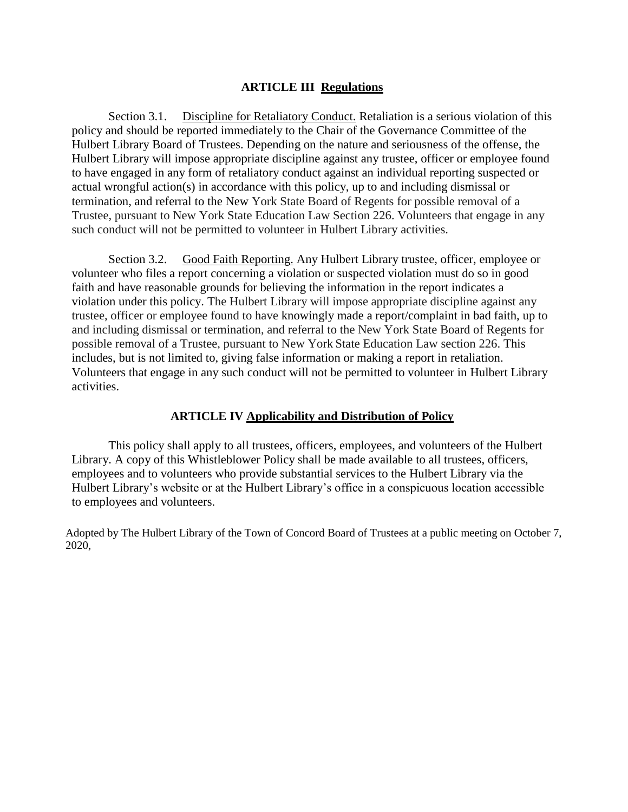### **ARTICLE III Regulations**

Section 3.1. Discipline for Retaliatory Conduct. Retaliation is a serious violation of this policy and should be reported immediately to the Chair of the Governance Committee of the Hulbert Library Board of Trustees. Depending on the nature and seriousness of the offense, the Hulbert Library will impose appropriate discipline against any trustee, officer or employee found to have engaged in any form of retaliatory conduct against an individual reporting suspected or actual wrongful action(s) in accordance with this policy, up to and including dismissal or termination, and referral to the New York State Board of Regents for possible removal of a Trustee, pursuant to New York State Education Law Section 226. Volunteers that engage in any such conduct will not be permitted to volunteer in Hulbert Library activities.

Section 3.2. Good Faith Reporting. Any Hulbert Library trustee, officer, employee or volunteer who files a report concerning a violation or suspected violation must do so in good faith and have reasonable grounds for believing the information in the report indicates a violation under this policy. The Hulbert Library will impose appropriate discipline against any trustee, officer or employee found to have knowingly made a report/complaint in bad faith, up to and including dismissal or termination, and referral to the New York State Board of Regents for possible removal of a Trustee, pursuant to New York State Education Law section 226. This includes, but is not limited to, giving false information or making a report in retaliation. Volunteers that engage in any such conduct will not be permitted to volunteer in Hulbert Library activities.

### **ARTICLE IV Applicability and Distribution of Policy**

This policy shall apply to all trustees, officers, employees, and volunteers of the Hulbert Library. A copy of this Whistleblower Policy shall be made available to all trustees, officers, employees and to volunteers who provide substantial services to the Hulbert Library via the Hulbert Library's website or at the Hulbert Library's office in a conspicuous location accessible to employees and volunteers.

Adopted by The Hulbert Library of the Town of Concord Board of Trustees at a public meeting on October 7, 2020,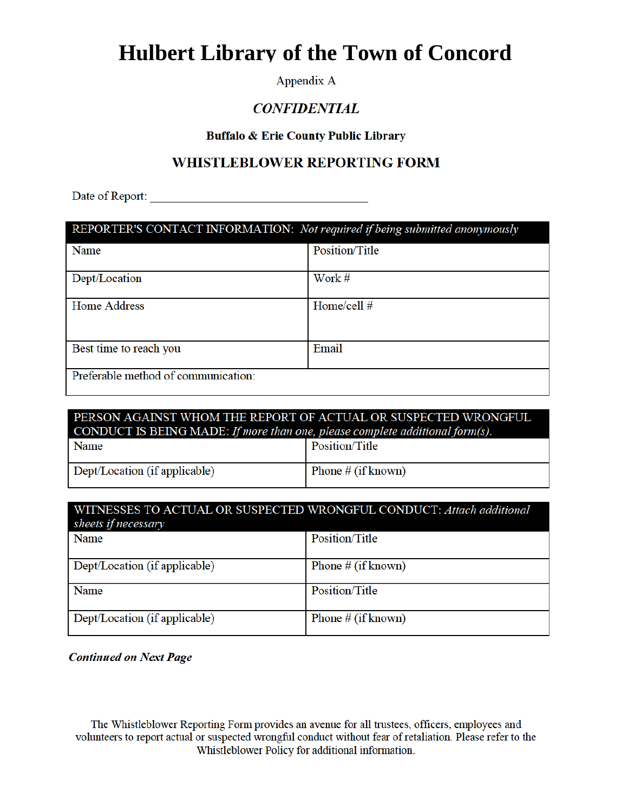# **Hulbert Library of the Town of Concord**

Appendix A

### **CONFIDENTIAL**

**Buffalo & Erie County Public Library** 

## **WHISTLEBLOWER REPORTING FORM**

| REPORTER'S CONTACT INFORMATION: Not required if being submitted anonymously |                |  |  |  |
|-----------------------------------------------------------------------------|----------------|--|--|--|
| Name                                                                        | Position/Title |  |  |  |
| Dept/Location                                                               | Work #         |  |  |  |
| <b>Home Address</b>                                                         | Home/cell $#$  |  |  |  |
| Best time to reach you                                                      | Email          |  |  |  |
| Preferable method of communication:                                         |                |  |  |  |

| PERSON AGAINST WHOM THE REPORT OF ACTUAL OR SUSPECTED WRONGFUL<br>CONDUCT IS BEING MADE: If more than one, please complete additional form(s). |                       |  |  |  |
|------------------------------------------------------------------------------------------------------------------------------------------------|-----------------------|--|--|--|
| Name                                                                                                                                           | Position/Title        |  |  |  |
| Dept/Location (if applicable)                                                                                                                  | Phone # $(i f known)$ |  |  |  |

## WITNESSES TO ACTUAL OR SUSPECTED WRONGFUL CONDUCT: Attach additional

| sneets y necessary            |                       |
|-------------------------------|-----------------------|
| Name                          | Position/Title        |
|                               |                       |
|                               |                       |
| Dept/Location (if applicable) | Phone $\#$ (if known) |
|                               |                       |
| Name                          | Position/Title        |
|                               |                       |
|                               |                       |
| Dept/Location (if applicable) | Phone $\#$ (if known) |
|                               |                       |

**Continued on Next Page** 

The Whistleblower Reporting Form provides an avenue for all trustees, officers, employees and volunteers to report actual or suspected wrongful conduct without fear of retaliation. Please refer to the Whistleblower Policy for additional information.